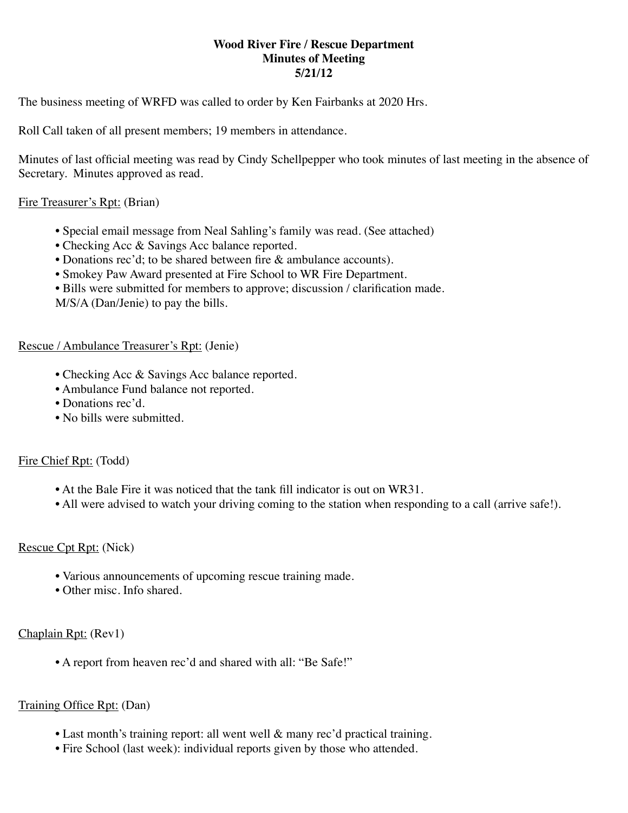## **Wood River Fire / Rescue Department Minutes of Meeting 5/21/12**

The business meeting of WRFD was called to order by Ken Fairbanks at 2020 Hrs.

Roll Call taken of all present members; 19 members in attendance.

Minutes of last official meeting was read by Cindy Schellpepper who took minutes of last meeting in the absence of Secretary. Minutes approved as read.

## Fire Treasurer's Rpt: (Brian)

- Special email message from Neal Sahling's family was read. (See attached)
- Checking Acc & Savings Acc balance reported.
- Donations rec'd; to be shared between fire & ambulance accounts).
- Smokey Paw Award presented at Fire School to WR Fire Department.
- Bills were submitted for members to approve; discussion / clarification made.
- M/S/A (Dan/Jenie) to pay the bills.

#### Rescue / Ambulance Treasurer's Rpt: (Jenie)

- Checking Acc & Savings Acc balance reported.
- Ambulance Fund balance not reported.
- Donations rec'd.
- No bills were submitted.

# Fire Chief Rpt: (Todd)

- At the Bale Fire it was noticed that the tank fill indicator is out on WR31.
- All were advised to watch your driving coming to the station when responding to a call (arrive safe!).

# Rescue Cpt Rpt: (Nick)

- Various announcements of upcoming rescue training made.
- Other misc. Info shared.

# Chaplain Rpt: (Rev1)

• A report from heaven rec'd and shared with all: "Be Safe!"

# Training Office Rpt: (Dan)

- Last month's training report: all went well & many rec'd practical training.
- Fire School (last week): individual reports given by those who attended.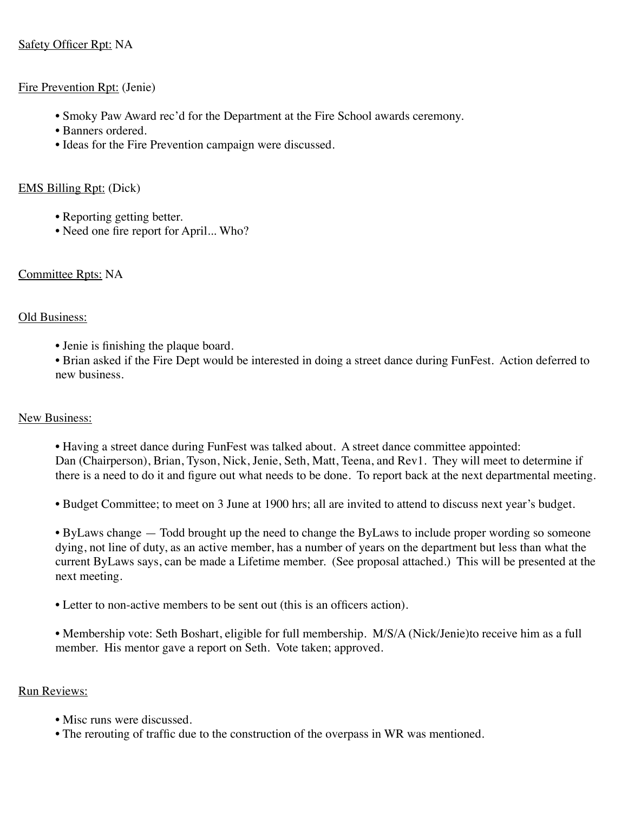# Safety Officer Rpt: NA

## Fire Prevention Rpt: (Jenie)

- Smoky Paw Award rec'd for the Department at the Fire School awards ceremony.
- Banners ordered.
- Ideas for the Fire Prevention campaign were discussed.

## EMS Billing Rpt: (Dick)

- Reporting getting better.
- Need one fire report for April... Who?

## Committee Rpts: NA

## Old Business:

• Jenie is finishing the plaque board.

• Brian asked if the Fire Dept would be interested in doing a street dance during FunFest. Action deferred to new business.

# New Business:

• Having a street dance during FunFest was talked about. A street dance committee appointed: Dan (Chairperson), Brian, Tyson, Nick, Jenie, Seth, Matt, Teena, and Rev1. They will meet to determine if there is a need to do it and figure out what needs to be done. To report back at the next departmental meeting.

• Budget Committee; to meet on 3 June at 1900 hrs; all are invited to attend to discuss next year's budget.

• ByLaws change — Todd brought up the need to change the ByLaws to include proper wording so someone dying, not line of duty, as an active member, has a number of years on the department but less than what the current ByLaws says, can be made a Lifetime member. (See proposal attached.) This will be presented at the next meeting.

• Letter to non-active members to be sent out (this is an officers action).

• Membership vote: Seth Boshart, eligible for full membership. M/S/A (Nick/Jenie)to receive him as a full member. His mentor gave a report on Seth. Vote taken; approved.

#### Run Reviews:

- Misc runs were discussed.
- The rerouting of traffic due to the construction of the overpass in WR was mentioned.